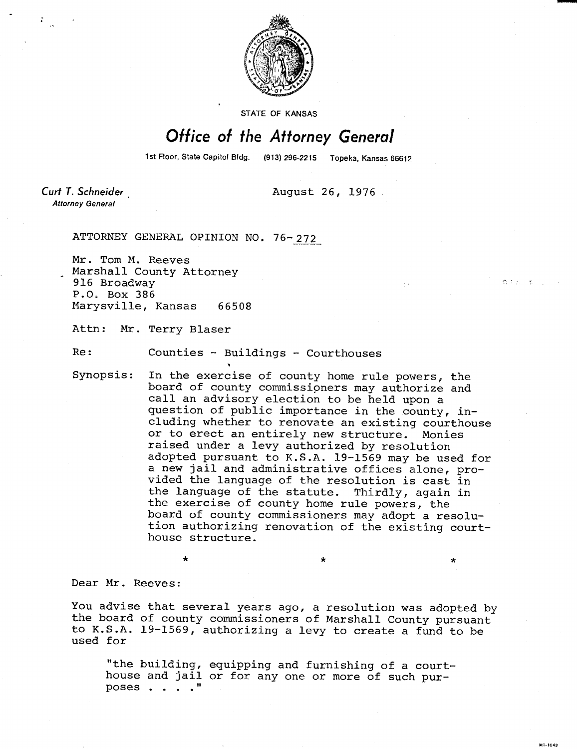

STATE OF KANSAS

## Office of the Attorney General

1st Floor, State Capitol Bldg. (913) 296-2215 Topeka, Kansas 66612

**GILLER** 

uli-1043

 $\star$ 

Curt T. Schneider **Attorney General** 

August 26, 1976

ATTORNEY GENERAL OPINION NO. 76-272

Mr. Tom M. Reeves Marshall County Attorney 916 Broadway P.O. Box 386 Marysville, Kansas 66508

Attn: Mr. Terry Blaser

Re: Counties - Buildings - Courthouses

Synopsis: In the exercise of county home rule powers, the board of county commissioners may authorize and call an advisory election to be held upon a question of public importance in the county, including whether to renovate an existing courthouse or to erect an entirely new structure. Monies raised under a levy authorized by resolution adopted pursuant to K.S.A. 19-1569 may be used for a new jail and administrative offices alone, provided the language of the resolution is cast in the language of the statute. Thirdly, again in the exercise of county home rule powers, the board of county commissioners may adopt a resolution authorizing renovation of the existing courthouse structure.

Dear Mr. Reeves:

You advise that several years ago, a resolution was adopted by the board of county commissioners of Marshall County pursuant to K.S.A. 19-1569, authorizing a levy to create a fund to be used for

"the building, equipping and furnishing of a courthouse and jail or for any one or more of such purposes . . . ."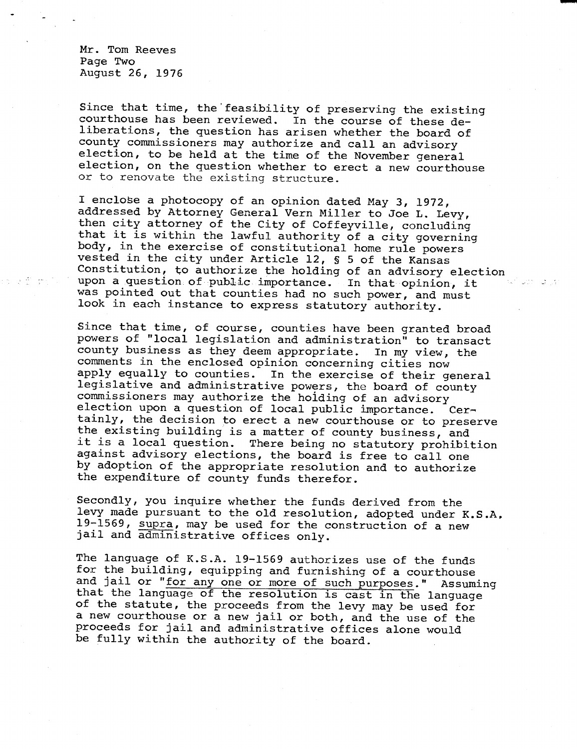Mr. Tom Reeves Page Two August 26, 1976

Since that time, the' feasibility of preserving the existing courthouse has been reviewed. In the course of these deliberations, the question has arisen whether the board of county commissioners may authorize and call an advisory election, to be held at the time of the November general election, on the question whether to erect a new courthouse or to renovate the existing structure.

I enclose a photocopy of an opinion dated May 3, 1972, addressed by Attorney General Vern Miller to Joe L. Levy, then city attorney of the City of Coffeyville, concluding that it is within the lawful authority of a city governing body, in the exercise of constitutional home rule powers vested in the city under Article 12, § 5 of the Kansas Constitution, to authorize the holding of an advisory election upon a question of public importance. In that opinion, it was pointed out that counties had no such power, and must look in each instance to express statutory authority.

Since that time, of course, counties have been granted broad powers of "local legislation and administration" to transact county business as they deem appropriate. In my view, the comments in the enclosed opinion concerning cities now apply equally to counties. In the exercise of their general legislative and administrative powers, the board of county commissioners may authorize the holding of an advisory election upon a question of local public importance. Certainly, the decision to erect a new courthouse or to preserve the existing building is a matter of county business, and it is a local question. There being no statutory prohibition against advisory elections, the board is free to call one by adoption of the appropriate resolution and to authorize the expenditure of county funds therefor.

Secondly, you inquire whether the funds derived from the levy made pursuant to the old resolution, adopted under K.S.A, 19-1569, supra, may be used for the construction of a new jail and administrative offices only.

The language of K.S.A. 19-1569 authorizes use of the funds for the building, equipping and furnishing of a courthouse and jail or "for any one or more of such purposes." Assuming that the language of the resolution is cast in the language of the statute, the proceeds from the levy may be used for a new courthouse or a new jail or both, and the use of the proceeds for jail and administrative offices alone would be fully within the authority of the board.